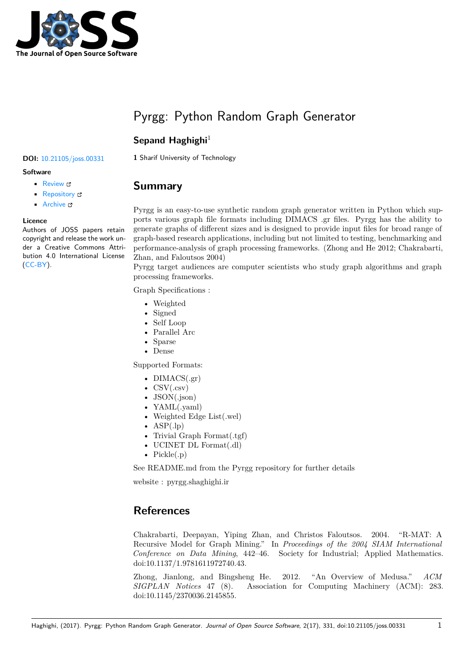

# Pyrgg: Python Random Graph Generator

## Sepand Haghighi<sup>1</sup>

**Summary**

#### **Software**

- Review &
- [Repository](https://doi.org/10.21105/joss.00331) C
- Archive &

#### **Licence**

Autho[rs of JOSS](https://github.com/sepandhaghighi/pyrgg) papers retain copyright and release the work under a [Creativ](http://dx.doi.org/10.5281/zenodo.845502)e Commons Attribution 4.0 International License (CC-BY).

#### **DOI:** 10.21105/joss.00331 **1** Sharif University of Technology

### Pyrgg is an easy-to-use synthetic random graph generator written in Python which supports various graph file formats including DIMACS .gr files. Pyrgg has the ability to generate graphs of different sizes and is designed to provide input files for broad range of graph-based research applications, including but not limited to testing, benchmarking and performance-analysis of graph processing frameworks. (Zhong and He 2012; Chakrabarti, Zhan, and Faloutsos 2004)

Pyrgg target audiences are computer scientists who study graph algorithms and graph processing frameworks.

Graph Specifications :

- Weighted
- Signed
- Self Loop
- Parallel Arc
- Sparse
- Dense

Supported Formats:

- DIMACS(.gr)
- $\text{CSV}(\text{.csv})$
- JSON(.json)
- YAML(.yaml)
- Weighted Edge List(.wel)
- ASP $(l,p)$
- Trivial Graph Format(.tgf)
- UCINET DL Format(.dl)
- $Pickle(.p)$

See README.md from the Pyrgg repository for further details

website : pyrgg.shaghighi.ir

# **References**

Chakrabarti, Deepayan, Yiping Zhan, and Christos Faloutsos. 2004. "R-MAT: A Recursive Model for Graph Mining." In *Proceedings of the 2004 SIAM International Conference on Data Mining*, 442–46. Society for Industrial; Applied Mathematics. doi:10.1137/1.9781611972740.43.

Zhong, Jianlong, and Bingsheng He. 2012. "An Overview of Medusa." *ACM SIGPLAN Notices* 47 (8). Association for Computing Machinery (ACM): 283. doi:[10.1145/2370036.2145855.](https://doi.org/10.1137/1.9781611972740.43)